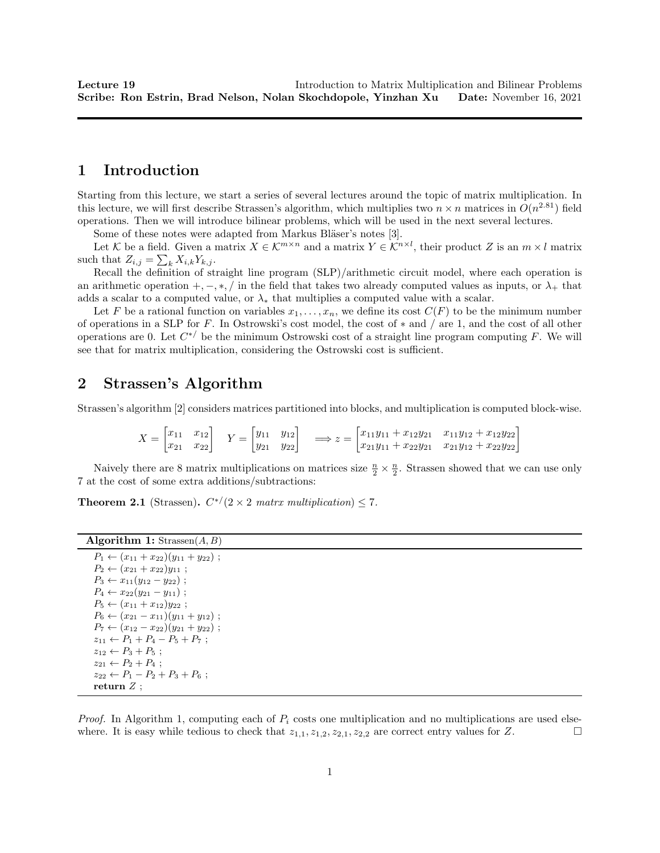# 1 Introduction

Starting from this lecture, we start a series of several lectures around the topic of matrix multiplication. In this lecture, we will first describe Strassen's algorithm, which multiplies two  $n \times n$  matrices in  $O(n^{2.81})$  field operations. Then we will introduce bilinear problems, which will be used in the next several lectures.

Some of these notes were adapted from Markus Bläser's notes [3].

Let K be a field. Given a matrix  $X \in \mathcal{K}^{m \times n}$  and a matrix  $Y \in \mathcal{K}^{n \times l}$ , their product Z is an  $m \times l$  matrix such that  $Z_{i,j} = \sum_{k} X_{i,k} Y_{k,j}$ .

Recall the definition of straight line program (SLP)/arithmetic circuit model, where each operation is an arithmetic operation  $+,-,*,/$  in the field that takes two already computed values as inputs, or  $\lambda_+$  that adds a scalar to a computed value, or  $\lambda_*$  that multiplies a computed value with a scalar.

Let F be a rational function on variables  $x_1, \ldots, x_n$ , we define its cost  $C(F)$  to be the minimum number of operations in a SLP for F. In Ostrowski's cost model, the cost of ∗ and / are 1, and the cost of all other operations are 0. Let  $C^{*/}$  be the minimum Ostrowski cost of a straight line program computing F. We will see that for matrix multiplication, considering the Ostrowski cost is sufficient.

## 2 Strassen's Algorithm

Strassen's algorithm [2] considers matrices partitioned into blocks, and multiplication is computed block-wise.

$$
X = \begin{bmatrix} x_{11} & x_{12} \\ x_{21} & x_{22} \end{bmatrix} \quad Y = \begin{bmatrix} y_{11} & y_{12} \\ y_{21} & y_{22} \end{bmatrix} \quad \Longrightarrow z = \begin{bmatrix} x_{11}y_{11} + x_{12}y_{21} & x_{11}y_{12} + x_{12}y_{22} \\ x_{21}y_{11} + x_{22}y_{21} & x_{21}y_{12} + x_{22}y_{22} \end{bmatrix}
$$

Naively there are 8 matrix multiplications on matrices size  $\frac{n}{2} \times \frac{n}{2}$ . Strassen showed that we can use only 7 at the cost of some extra additions/subtractions:

**Theorem 2.1** (Strassen).  $C^{*/}(2 \times 2 \text{ matrix multiplication}) \leq 7$ .

| <b>Algorithm 1:</b> Strassen $(A, B)$ |  |  |  |  |
|---------------------------------------|--|--|--|--|
|---------------------------------------|--|--|--|--|

| $P_1 \leftarrow (x_{11} + x_{22})(y_{11} + y_{22})$ ; |
|-------------------------------------------------------|
| $P_2 \leftarrow (x_{21} + x_{22})y_{11}$ ;            |
| $P_3 \leftarrow x_{11}(y_{12} - y_{22})$ ;            |
| $P_4 \leftarrow x_{22}(y_{21} - y_{11})$ ;            |
| $P_5 \leftarrow (x_{11} + x_{12})y_{22}$ ;            |
| $P_6 \leftarrow (x_{21} - x_{11})(y_{11} + y_{12})$ ; |
| $P_7 \leftarrow (x_{12} - x_{22})(y_{21} + y_{22})$ ; |
| $z_{11} \leftarrow P_1 + P_4 - P_5 + P_7$ ;           |
| $z_{12} \leftarrow P_3 + P_5$ ;                       |
| $z_{21} \leftarrow P_2 + P_4$ ;                       |
| $z_{22} \leftarrow P_1 - P_2 + P_3 + P_6$ ;           |
| return Z;                                             |

*Proof.* In Algorithm 1, computing each of  $P_i$  costs one multiplication and no multiplications are used elsewhere. It is easy while tedious to check that  $z_{1,1}, z_{1,2}, z_{2,1}, z_{2,2}$  are correct entry values for Z.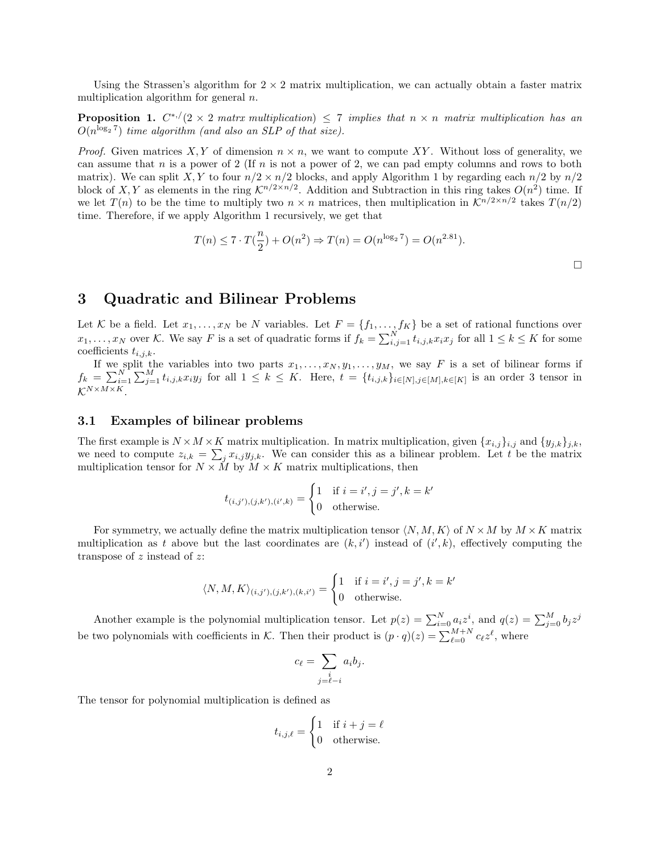Using the Strassen's algorithm for  $2 \times 2$  matrix multiplication, we can actually obtain a faster matrix multiplication algorithm for general  $n$ .

**Proposition 1.**  $C^{*,/}(2 \times 2 \text{ matrix multiplication}) \leq 7 \text{ implies that } n \times n \text{ matrix multiplication has an }$  $O(n^{\log_2 7})$  time algorithm (and also an SLP of that size).

*Proof.* Given matrices X, Y of dimension  $n \times n$ , we want to compute XY. Without loss of generality, we can assume that n is a power of 2 (If n is not a power of 2, we can pad empty columns and rows to both matrix). We can split X, Y to four  $n/2 \times n/2$  blocks, and apply Algorithm 1 by regarding each  $n/2$  by  $n/2$ block of X, Y as elements in the ring  $\mathcal{K}^{n/2 \times n/2}$ . Addition and Subtraction in this ring takes  $O(n^2)$  time. If we let  $T(n)$  to be the time to multiply two  $n \times n$  matrices, then multiplication in  $\mathcal{K}^{n/2 \times n/2}$  takes  $T(n/2)$ time. Therefore, if we apply Algorithm 1 recursively, we get that

$$
T(n) \le 7 \cdot T(\frac{n}{2}) + O(n^2) \Rightarrow T(n) = O(n^{\log_2 7}) = O(n^{2.81}).
$$

# 3 Quadratic and Bilinear Problems

Let K be a field. Let  $x_1, \ldots, x_N$  be N variables. Let  $F = \{f_1, \ldots, f_K\}$  be a set of rational functions over  $x_1, \ldots, x_N$  over K. We say F is a set of quadratic forms if  $f_k = \sum_{i,j=1}^N t_{i,j,k} x_i x_j$  for all  $1 \le k \le K$  for some coefficients  $t_{i,j,k}$ .

If we split the variables into two parts  $x_1, \ldots, x_N, y_1, \ldots, y_M$ , we say F is a set of bilinear forms if  $f_k = \sum_{i=1}^N \sum_{j=1}^M t_{i,j,k} x_i y_j$  for all  $1 \leq k \leq K$ . Here,  $t = \{t_{i,j,k}\}_{i \in [N], j \in [M], k \in [K]}$  is an order 3 tensor in  $K^{N \times M \times K}$ 

#### 3.1 Examples of bilinear problems

The first example is  $N \times M \times K$  matrix multiplication. In matrix multiplication, given  $\{x_{i,j}\}_{i,j}$  and  $\{y_{j,k}\}_{j,k}$ , we need to compute  $z_{i,k} = \sum_j x_{i,j} y_{j,k}$ . We can consider this as a bilinear problem. Let t be the matrix multiplication tensor for  $N \times \tilde{M}$  by  $M \times K$  matrix multiplications, then

$$
t_{(i,j'),(j,k'),(i',k)} = \begin{cases} 1 & \text{if } i = i', j = j', k = k' \\ 0 & \text{otherwise.} \end{cases}
$$

For symmetry, we actually define the matrix multiplication tensor  $\langle N, M, K \rangle$  of  $N \times M$  by  $M \times K$  matrix multiplication as t above but the last coordinates are  $(k, i')$  instead of  $(i', k)$ , effectively computing the transpose of  $z$  instead of  $z$ :

$$
\langle N, M, K \rangle_{(i,j'),(j,k'),(k,i')} = \begin{cases} 1 & \text{if } i = i', j = j', k = k' \\ 0 & \text{otherwise.} \end{cases}
$$

Another example is the polynomial multiplication tensor. Let  $p(z) = \sum_{i=0}^{N} a_i z^i$ , and  $q(z) = \sum_{j=0}^{M} b_j z^j$ be two polynomials with coefficients in K. Then their product is  $(p \cdot q)(z) = \sum_{\ell=0}^{M+N} c_{\ell} z^{\ell}$ , where

$$
c_{\ell} = \sum_{\substack{i \\ j=\ell-i}} a_i b_j.
$$

The tensor for polynomial multiplication is defined as

$$
t_{i,j,\ell} = \begin{cases} 1 & \text{if } i+j=\ell \\ 0 & \text{otherwise.} \end{cases}
$$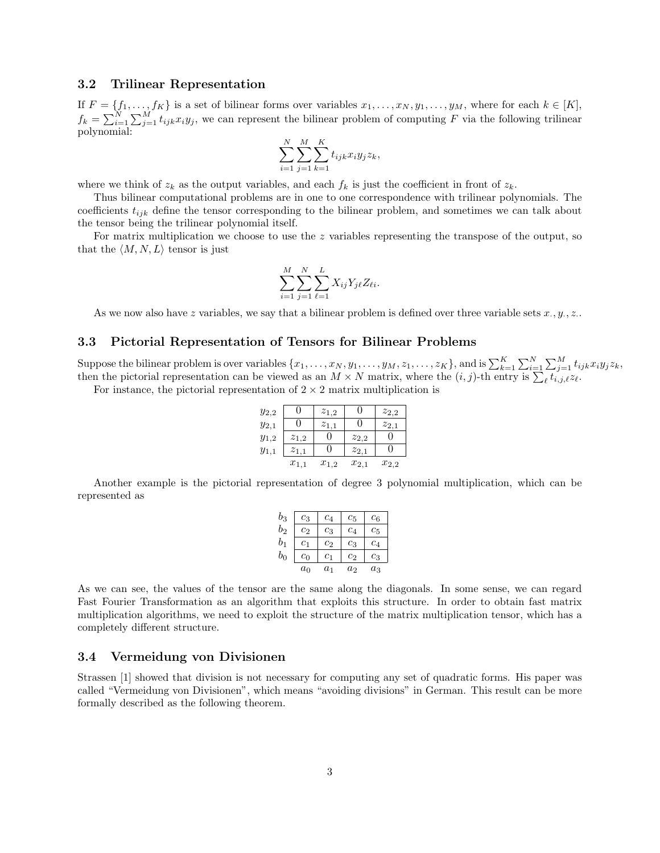#### 3.2 Trilinear Representation

If  $F = \{f_1, \ldots, f_K\}$  is a set of bilinear forms over variables  $x_1, \ldots, x_N, y_1, \ldots, y_M$ , where for each  $k \in [K]$ ,  $f_k = \sum_{i=1}^N \sum_{j=1}^M t_{ijk} x_i y_j$ , we can represent the bilinear problem of computing F via the following trilinear polynomial:

$$
\sum_{i=1}^{N} \sum_{j=1}^{M} \sum_{k=1}^{K} t_{ijk} x_i y_j z_k,
$$

where we think of  $z_k$  as the output variables, and each  $f_k$  is just the coefficient in front of  $z_k$ .

Thus bilinear computational problems are in one to one correspondence with trilinear polynomials. The coefficients  $t_{ijk}$  define the tensor corresponding to the bilinear problem, and sometimes we can talk about the tensor being the trilinear polynomial itself.

For matrix multiplication we choose to use the z variables representing the transpose of the output, so that the  $\langle M, N, L \rangle$  tensor is just

$$
\sum_{i=1}^{M} \sum_{j=1}^{N} \sum_{\ell=1}^{L} X_{ij} Y_{j\ell} Z_{\ell i}.
$$

As we now also have z variables, we say that a bilinear problem is defined over three variable sets  $x_i, y_i, z_i$ .

#### 3.3 Pictorial Representation of Tensors for Bilinear Problems

Suppose the bilinear problem is over variables  $\{x_1, \ldots, x_N, y_1, \ldots, y_M, z_1, \ldots, z_K\}$ , and is  $\sum_{k=1}^K \sum_{i=1}^N \sum_{j=1}^M t_{ijk} x_i y_j z_k$ , then the pictorial representation can be viewed as an  $M \times N$  matrix, where the  $(i, j)$ -th entry is  $\sum_{\ell} t_{i,j,\ell} z_{\ell}$ .

For instance, the pictorial representation of  $2 \times 2$  matrix multiplication is

| $y_{2,2}$ |           | $z_{1,2}$ |           | $z_{2,2}$ |
|-----------|-----------|-----------|-----------|-----------|
| $y_{2,1}$ |           | $z_{1,1}$ |           | $z_{2,1}$ |
| $y_{1,2}$ | $z_{1,2}$ |           | $z_{2,2}$ |           |
| $y_{1,1}$ | $z_{1,1}$ |           | $z_{2,1}$ |           |
|           | $x_{1,1}$ | $x_{1,2}$ | $x_{2,1}$ | $x_{2,2}$ |

Another example is the pictorial representation of degree 3 polynomial multiplication, which can be represented as

| $b_3$          | $c_3$          | $\it{c}_{4}$        | $c_{5}$             | $c_{6}$            |
|----------------|----------------|---------------------|---------------------|--------------------|
| $b_2$          | $c_2$          | $\mathbb{c}_3$      | $\it{c}_{4}$        | C5                 |
| b <sub>1</sub> | $_{c_1}$       | $\scriptstyle{c_2}$ | $\scriptstyle{c_3}$ | $\mathbb{c}_4$     |
| $b_{0}$        | c <sub>0</sub> | $c_1$               | $\scriptstyle{c_2}$ | $\scriptstyle c_3$ |
|                | $a_0$          | $a_1$               | a <sub>2</sub>      | $a_3$              |

As we can see, the values of the tensor are the same along the diagonals. In some sense, we can regard Fast Fourier Transformation as an algorithm that exploits this structure. In order to obtain fast matrix multiplication algorithms, we need to exploit the structure of the matrix multiplication tensor, which has a completely different structure.

### 3.4 Vermeidung von Divisionen

Strassen [1] showed that division is not necessary for computing any set of quadratic forms. His paper was called "Vermeidung von Divisionen", which means "avoiding divisions" in German. This result can be more formally described as the following theorem.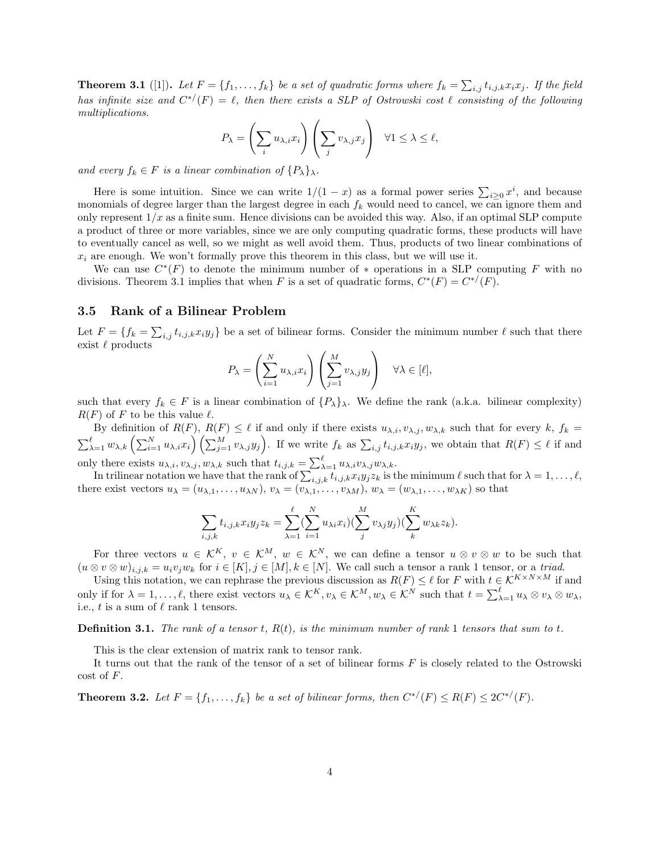**Theorem 3.1** ([1]). Let  $F = \{f_1, \ldots, f_k\}$  be a set of quadratic forms where  $f_k = \sum_{i,j} t_{i,j,k} x_i x_j$ . If the field has infinite size and  $C^{*/}(F) = \ell$ , then there exists a SLP of Ostrowski cost  $\ell$  consisting of the following multiplications.

$$
P_{\lambda} = \left(\sum_{i} u_{\lambda, i} x_{i}\right) \left(\sum_{j} v_{\lambda, j} x_{j}\right) \quad \forall 1 \leq \lambda \leq \ell,
$$

and every  $f_k \in F$  is a linear combination of  $\{P_\lambda\}_\lambda$ .

Here is some intuition. Since we can write  $1/(1-x)$  as a formal power series  $\sum_{i\geq 0} x^i$ , and because monomials of degree larger than the largest degree in each  $f_k$  would need to cancel, we can ignore them and only represent  $1/x$  as a finite sum. Hence divisions can be avoided this way. Also, if an optimal SLP compute a product of three or more variables, since we are only computing quadratic forms, these products will have to eventually cancel as well, so we might as well avoid them. Thus, products of two linear combinations of  $x_i$  are enough. We won't formally prove this theorem in this class, but we will use it.

We can use  $C^*(F)$  to denote the minimum number of  $*$  operations in a SLP computing F with no divisions. Theorem 3.1 implies that when F is a set of quadratic forms,  $C^*(F) = C^{*/}(F)$ .

#### 3.5 Rank of a Bilinear Problem

Let  $F = \{f_k = \sum_{i,j} t_{i,j,k} x_i y_j\}$  be a set of bilinear forms. Consider the minimum number  $\ell$  such that there exist $\ell$  products

$$
P_{\lambda} = \left(\sum_{i=1}^{N} u_{\lambda,i} x_i\right) \left(\sum_{j=1}^{M} v_{\lambda,j} y_j\right) \quad \forall \lambda \in [\ell],
$$

such that every  $f_k \in F$  is a linear combination of  $\{P_\lambda\}_\lambda$ . We define the rank (a.k.a. bilinear complexity)  $R(F)$  of F to be this value  $\ell$ .

By definition of  $R(F)$ ,  $R(F) \leq \ell$  if and only if there exists  $u_{\lambda,i}, v_{\lambda,j}, w_{\lambda,k}$  such that for every k,  $f_k =$  $\sum_{\lambda=1}^{\ell} w_{\lambda,k} \left( \sum_{i=1}^N u_{\lambda,i} x_i \right) \left( \sum_{j=1}^M v_{\lambda,j} y_j \right)$ . If we write  $f_k$  as  $\sum_{i,j} t_{i,j,k} x_i y_j$ , we obtain that  $R(F) \leq \ell$  if and only there exists  $u_{\lambda,i}$ ,  $v_{\lambda,j}$ ,  $w_{\lambda,k}$  such that  $t_{i,j,k} = \sum_{\lambda=1}^{\ell} u_{\lambda,i} v_{\lambda,j} w_{\lambda,k}$ .

In trilinear notation we have that the rank of  $\sum_{i,j,k} t_{i,j,k} x_i y_j z_k$  is the minimum  $\ell$  such that for  $\lambda = 1, \ldots, \ell$ , there exist vectors  $u_{\lambda} = (u_{\lambda,1}, \ldots, u_{\lambda N}), v_{\lambda} = (v_{\lambda,1}, \ldots, v_{\lambda M}), w_{\lambda} = (w_{\lambda,1}, \ldots, w_{\lambda K})$  so that

$$
\sum_{i,j,k} t_{i,j,k} x_i y_j z_k = \sum_{\lambda=1}^{\ell} \left( \sum_{i=1}^N u_{\lambda i} x_i \right) \left( \sum_{j}^M v_{\lambda j} y_j \right) \left( \sum_{k}^K w_{\lambda k} z_k \right).
$$

For three vectors  $u \in \mathcal{K}^K$ ,  $v \in \mathcal{K}^M$ ,  $w \in \mathcal{K}^N$ , we can define a tensor  $u \otimes v \otimes w$  to be such that  $(u \otimes v \otimes w)_{i,j,k} = u_i v_j w_k$  for  $i \in [K], j \in [M], k \in [N]$ . We call such a tensor a rank 1 tensor, or a triad.

Using this notation, we can rephrase the previous discussion as  $R(F) \leq \ell$  for F with  $t \in K^{K \times N \times M}$  if and only if for  $\lambda = 1, \ldots, \ell$ , there exist vectors  $u_{\lambda} \in \mathcal{K}^{K}$ ,  $v_{\lambda} \in \mathcal{K}^{M}$ ,  $w_{\lambda} \in \mathcal{K}^{N}$  such that  $t = \sum_{\lambda=1}^{\ell} u_{\lambda} \otimes v_{\lambda} \otimes w_{\lambda}$ , i.e., t is a sum of  $\ell$  rank 1 tensors.

**Definition 3.1.** The rank of a tensor t,  $R(t)$ , is the minimum number of rank 1 tensors that sum to t.

This is the clear extension of matrix rank to tensor rank.

It turns out that the rank of the tensor of a set of bilinear forms  $F$  is closely related to the Ostrowski cost of F.

**Theorem 3.2.** Let  $F = \{f_1, \ldots, f_k\}$  be a set of bilinear forms, then  $C^{*'}(F) \le R(F) \le 2C^{*'}(F)$ .